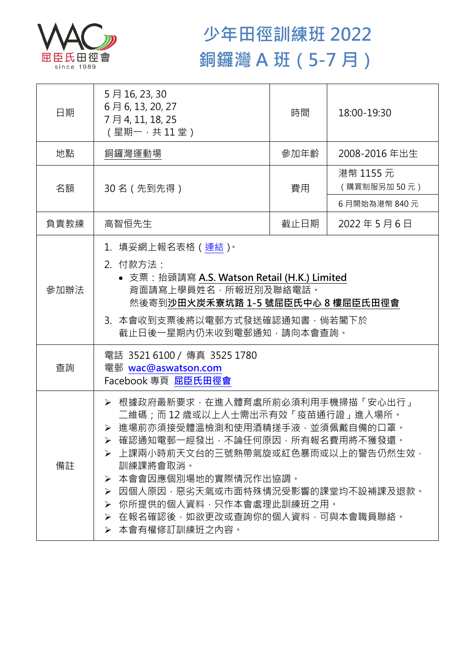

## **少年田徑訓練班 2022 銅鑼灣 A 班(5-7 月)**

| 日期   | 5月16, 23, 30<br>6月6, 13, 20, 27<br>7月4, 11, 18, 25<br>(星期一,共11堂)                                                                                                                                                                                                                                                                                             | 時間   | 18:00-19:30              |  |
|------|--------------------------------------------------------------------------------------------------------------------------------------------------------------------------------------------------------------------------------------------------------------------------------------------------------------------------------------------------------------|------|--------------------------|--|
| 地點   | 銅鑼灣運動場                                                                                                                                                                                                                                                                                                                                                       | 參加年齡 | 2008-2016年出生             |  |
| 名額   | 30名 (先到先得)                                                                                                                                                                                                                                                                                                                                                   | 費用   | 港幣 1155 元<br>(購買制服另加50元) |  |
|      |                                                                                                                                                                                                                                                                                                                                                              |      | 6月開始為港幣 840元             |  |
| 負責教練 | 高智恒先生                                                                                                                                                                                                                                                                                                                                                        | 截止日期 | 2022年5月6日                |  |
| 參加辦法 | 1.填妥網上報名表格(連結) <sup>。</sup><br>2. 付款方法:<br>• 支票: 抬頭請寫 A.S. Watson Retail (H.K.) Limited<br>背面請寫上學員姓名,所報班別及聯絡電話。<br>然後寄到沙田火炭禾寮坑路 1-5 號屈臣氏中心 8 樓屈臣氏田徑會<br>3. 本會收到支票後將以電郵方式發送確認通知書,倘若閣下於<br>截止日後一星期內仍未收到電郵通知,請向本會查詢。                                                                                                                                            |      |                          |  |
| 查詢   | 電話 35216100 / 傳真 3525 1780<br>電郵 wac@aswatson.com<br>Facebook 專頁 屈臣氏田徑會                                                                                                                                                                                                                                                                                      |      |                          |  |
| 備註   | ▶ 根據政府最新要求,在進入體育處所前必須利用手機掃描「安心出行」<br>二維碼;而12歳或以上人士需出示有效「疫苗通行證」進入場所。<br>> 進場前亦須接受體溫檢測和使用酒精搓手液·並須佩戴自備的口罩。<br>▶ 確認通知電郵一經發出,不論任何原因,所有報名費用將不獲發還。<br>➢ 上課兩小時前天文台的三號熱帶氣旋或紅色暴雨或以上的警告仍然生效•<br>訓練課將會取消。<br>本會會因應個別場地的實際情況作出協調。<br>➤<br>因個人原因,惡劣天氣或市面特殊情況受影響的課堂均不設補課及退款。<br>➤<br>你所提供的個人資料,只作本會處理此訓練班之用。<br>➤<br>在報名確認後,如欲更改或查詢你的個人資料,可與本會職員聯絡。<br>≻<br>▶ 本會有權修訂訓練班之內容。 |      |                          |  |